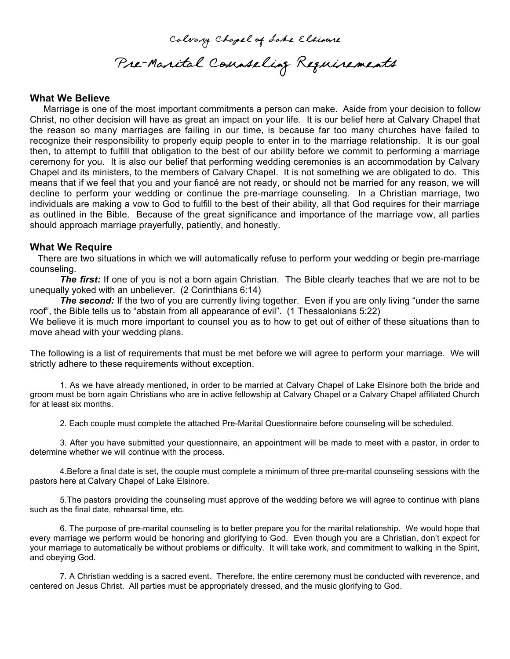Calvary Chapel of Lake Elsinore Pre-Marital Counseling Requirements

## **What We Believe**

 Marriage is one of the most important commitments a person can make. Aside from your decision to follow Christ, no other decision will have as great an impact on your life. It is our belief here at Calvary Chapel that the reason so many marriages are failing in our time, is because far too many churches have failed to recognize their responsibility to properly equip people to enter in to the marriage relationship. It is our goal then, to attempt to fulfill that obligation to the best of our ability before we commit to performing a marriage ceremony for you. It is also our belief that performing wedding ceremonies is an accommodation by Calvary Chapel and its ministers, to the members of Calvary Chapel. It is not something we are obligated to do. This means that if we feel that you and your fiancé are not ready, or should not be married for any reason, we will decline to perform your wedding or continue the pre-marriage counseling. In a Christian marriage, two individuals are making a vow to God to fulfill to the best of their ability, all that God requires for their marriage as outlined in the Bible. Because of the great significance and importance of the marriage vow, all parties should approach marriage prayerfully, patiently, and honestly.

## **What We Require**

There are two situations in which we will automatically refuse to perform your wedding or begin pre-marriage counseling.

**The first:** If one of you is not a born again Christian. The Bible clearly teaches that we are not to be unequally yoked with an unbeliever. (2 Corinthians 6:14)

**The second:** If the two of you are currently living together. Even if you are only living "under the same roof", the Bible tells us to "abstain from all appearance of evil". (1 Thessalonians 5:22)

We believe it is much more important to counsel you as to how to get out of either of these situations than to move ahead with your wedding plans.

The following is a list of requirements that must be met before we will agree to perform your marriage. We will strictly adhere to these requirements without exception.

1. As we have already mentioned, in order to be married at Calvary Chapel of Lake Elsinore both the bride and groom must be born again Christians who are in active fellowship at Calvary Chapel or a Calvary Chapel affiliated Church for at least six months.

2. Each couple must complete the attached Pre-Marital Questionnaire before counseling will be scheduled.

3. After you have submitted your questionnaire, an appointment will be made to meet with a pastor, in order to determine whether we will continue with the process.

4.Before a final date is set, the couple must complete a minimum of three pre-marital counseling sessions with the pastors here at Calvary Chapel of Lake Elsinore.

5.The pastors providing the counseling must approve of the wedding before we will agree to continue with plans such as the final date, rehearsal time, etc.

6. The purpose of pre-marital counseling is to better prepare you for the marital relationship. We would hope that every marriage we perform would be honoring and glorifying to God. Even though you are a Christian, don't expect for your marriage to automatically be without problems or difficulty. It will take work, and commitment to walking in the Spirit, and obeying God.

7. A Christian wedding is a sacred event. Therefore, the entire ceremony must be conducted with reverence, and centered on Jesus Christ. All parties must be appropriately dressed, and the music glorifying to God.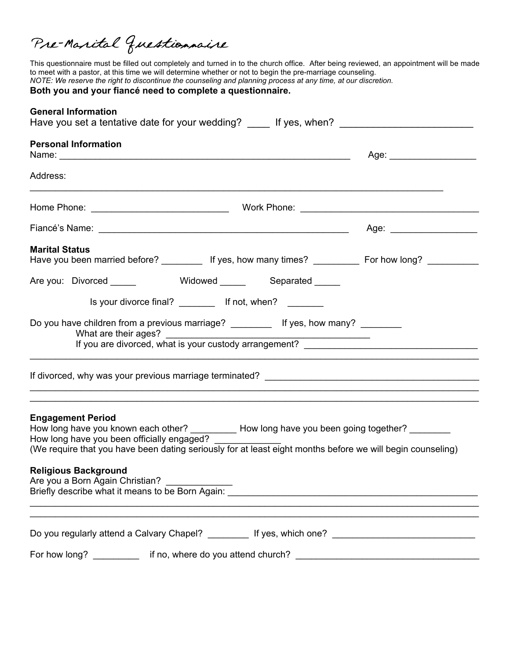Pre-Marital Questionnaire

This questionnaire must be filled out completely and turned in to the church office. After being reviewed, an appointment will be made to meet with a pastor, at this time we will determine whether or not to begin the pre-marriage counseling. *NOTE: We reserve the right to discontinue the counseling and planning process at any time, at our discretion.* **Both you and your fiancé need to complete a questionnaire.**

| <b>General Information</b>                                                                                                                                                                                                                                                                                                                                                                                   |                                |
|--------------------------------------------------------------------------------------------------------------------------------------------------------------------------------------------------------------------------------------------------------------------------------------------------------------------------------------------------------------------------------------------------------------|--------------------------------|
| <b>Personal Information</b>                                                                                                                                                                                                                                                                                                                                                                                  |                                |
| Address:                                                                                                                                                                                                                                                                                                                                                                                                     |                                |
|                                                                                                                                                                                                                                                                                                                                                                                                              |                                |
|                                                                                                                                                                                                                                                                                                                                                                                                              | Age: _________________________ |
| <b>Marital Status</b><br>Have you been married before? __________ If yes, how many times? __________ For how long? __________                                                                                                                                                                                                                                                                                |                                |
| Are you: Divorced ______ Widowed _____ Separated ____                                                                                                                                                                                                                                                                                                                                                        |                                |
| Is your divorce final? ___________ If not, when? ________                                                                                                                                                                                                                                                                                                                                                    |                                |
| Do you have children from a previous marriage? __________ If yes, how many? ________                                                                                                                                                                                                                                                                                                                         |                                |
|                                                                                                                                                                                                                                                                                                                                                                                                              |                                |
| <b>Engagement Period</b><br>How long have you known each other? __________ How long have you been going together? ________<br>How long have you been officially engaged?<br>(We require that you have been dating seriously for at least eight months before we will begin counseling)<br><b>Religious Background</b><br>Are you a Born Again Christian?<br>Briefly describe what it means to be Born Again: |                                |
|                                                                                                                                                                                                                                                                                                                                                                                                              |                                |
| For how long? __________                                                                                                                                                                                                                                                                                                                                                                                     |                                |